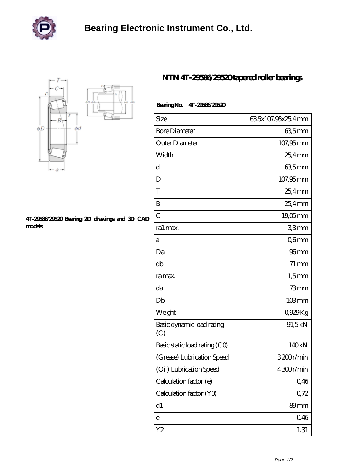



## **[4T-29586/29520 Bearing 2D drawings and 3D CAD](https://m.zlikb.com/pic-98625.html) [models](https://m.zlikb.com/pic-98625.html)**

## **[NTN 4T-29586/29520 tapered roller bearings](https://m.zlikb.com/au-98625-ntn-4t-29586-29520-tapered-roller-bearings.html)**

## **Bearing No. 4T-29586/29520**

| Size                             | 635x107.95x25.4mm  |
|----------------------------------|--------------------|
| <b>Bore Diameter</b>             | 635 mm             |
| Outer Diameter                   | 107,95mm           |
| Width                            | 25,4mm             |
| d                                | 635mm              |
| D                                | 107,95mm           |
| T                                | $254$ mm           |
| B                                | $25.4$ mm          |
| $\overline{C}$                   | $19,05$ mm         |
| ra1 max.                         | 33mm               |
| а                                | Q6mm               |
| Da                               | 96 <sub>mm</sub>   |
| db                               | $71 \,\mathrm{mm}$ |
| ra max.                          | $1,5$ mm           |
| da                               | $73$ mm            |
| Db                               | $103 \, \text{mm}$ |
| Weight                           | 0,929Kg            |
| Basic dynamic load rating<br>(C) | 91,5kN             |
| Basic static load rating (CO)    | 140kN              |
| (Grease) Lubrication Speed       | 3200r/min          |
| (Oil) Lubrication Speed          | 4300r/min          |
| Calculation factor (e)           | 0,46               |
| Calculation factor (YO)          | 0,72               |
| d1                               | 89mm               |
| e                                | 046                |
| Y <sub>2</sub>                   | 1.31               |